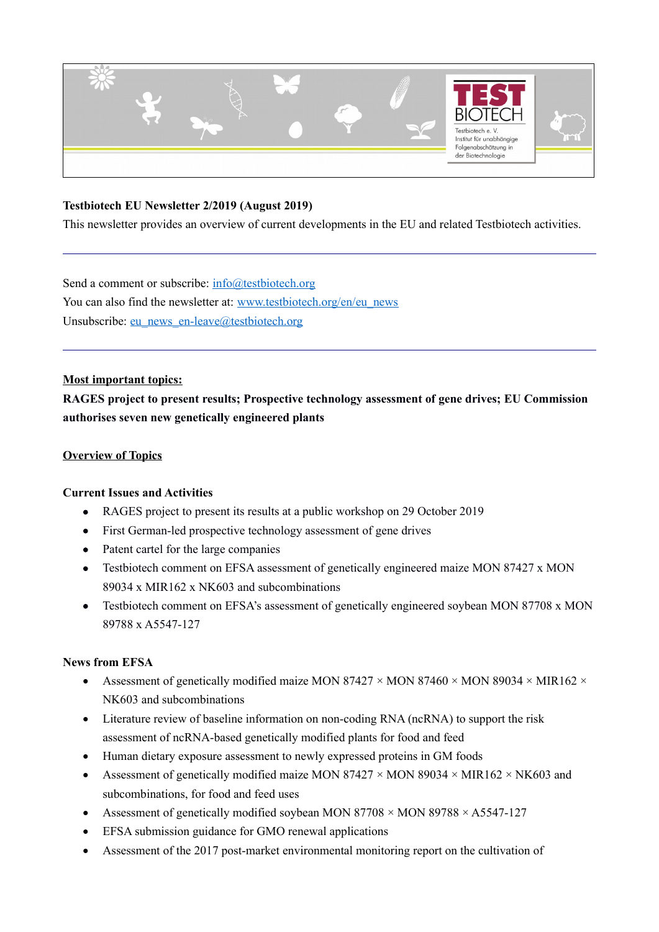

## **Testbiotech EU Newsletter 2/2019 (August 2019)**

This newsletter provides an overview of current developments in the EU and related Testbiotech activities.

Send a comment or subscribe: [info@testbiotech.org](mailto:info@testbiotech.org) You can also find the newsletter at: [www.testbiotech.org/en/eu\\_news](http://www.testbiotech.org/en/eu_news) Unsubscribe: [eu\\_news\\_en-leave@testbiotech.org](mailto:eu_news_en-leave@testbiotech.org)

### **Most important topics:**

**RAGES project to present results; Prospective technology assessment of gene drives; EU Commission authorises seven new genetically engineered plants** 

### **Overview of Topics**

### **Current Issues and Activities**

- RAGES project to present its results at a public workshop on 29 October 2019
- First German-led prospective technology assessment of gene drives
- Patent cartel for the large companies
- Testbiotech comment on EFSA assessment of genetically engineered maize MON 87427 x MON 89034 x MIR162 x NK603 and subcombinations
- Testbiotech comment on EFSA's assessment of genetically engineered soybean MON 87708 x MON 89788 x A5547-127

### **News from EFSA**

- Assessment of genetically modified maize MON 87427  $\times$  MON 87460  $\times$  MON 89034  $\times$  MIR162  $\times$ NK603 and subcombinations
- Literature review of baseline information on non-coding RNA (ncRNA) to support the risk assessment of ncRNA‐based genetically modified plants for food and feed
- Human dietary exposure assessment to newly expressed proteins in GM foods
- Assessment of genetically modified maize MON 87427  $\times$  MON 89034  $\times$  MIR162  $\times$  NK603 and subcombinations, for food and feed uses
- Assessment of genetically modified soybean MON  $87708 \times MON$   $89788 \times A5547-127$
- EFSA submission guidance for GMO renewal applications
- Assessment of the 2017 post-market environmental monitoring report on the cultivation of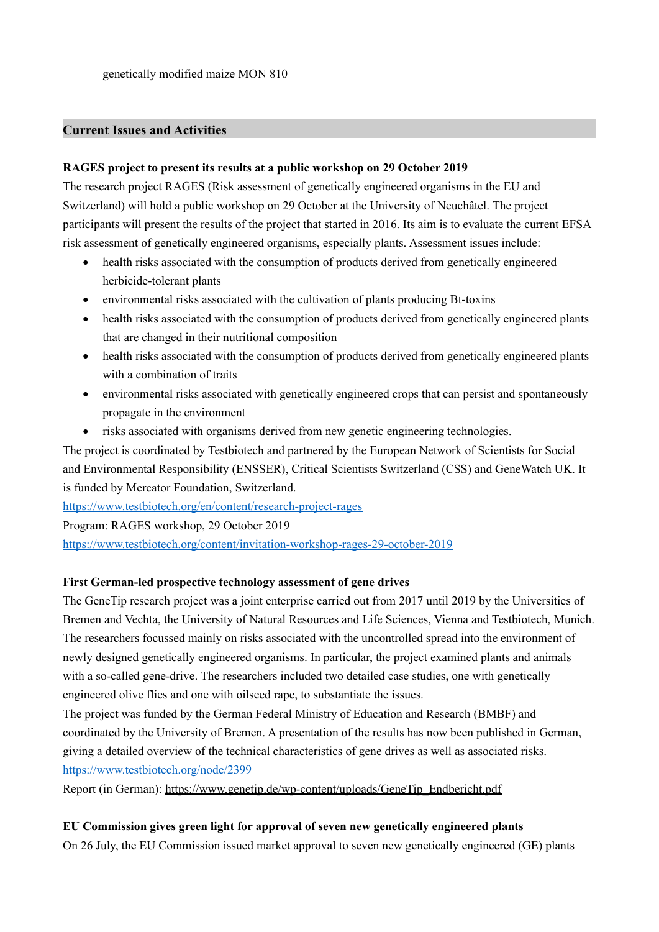## **Current Issues and Activities**

### **RAGES project to present its results at a public workshop on 29 October 2019**

The research project RAGES (Risk assessment of genetically engineered organisms in the EU and Switzerland) will hold a public workshop on 29 October at the University of Neuchâtel. The project participants will present the results of the project that started in 2016. Its aim is to evaluate the current EFSA risk assessment of genetically engineered organisms, especially plants. Assessment issues include:

- health risks associated with the consumption of products derived from genetically engineered herbicide-tolerant plants
- environmental risks associated with the cultivation of plants producing Bt-toxins
- health risks associated with the consumption of products derived from genetically engineered plants that are changed in their nutritional composition
- health risks associated with the consumption of products derived from genetically engineered plants with a combination of traits
- environmental risks associated with genetically engineered crops that can persist and spontaneously propagate in the environment
- risks associated with organisms derived from new genetic engineering technologies.

The project is coordinated by Testbiotech and partnered by the European Network of Scientists for Social and Environmental Responsibility (ENSSER), Critical Scientists Switzerland (CSS) and GeneWatch UK. It is funded by Mercator Foundation, Switzerland.

<https://www.testbiotech.org/en/content/research-project-rages>

Program: RAGES workshop, 29 October 2019

<https://www.testbiotech.org/content/invitation-workshop-rages-29-october-2019>

### **First German-led prospective technology assessment of gene drives**

The GeneTip research project was a joint enterprise carried out from 2017 until 2019 by the Universities of Bremen and Vechta, the University of Natural Resources and Life Sciences, Vienna and Testbiotech, Munich. The researchers focussed mainly on risks associated with the uncontrolled spread into the environment of newly designed genetically engineered organisms. In particular, the project examined plants and animals with a so-called gene-drive. The researchers included two detailed case studies, one with genetically engineered olive flies and one with oilseed rape, to substantiate the issues.

The project was funded by the German Federal Ministry of Education and Research (BMBF) and coordinated by the University of Bremen. A presentation of the results has now been published in German, giving a detailed overview of the technical characteristics of gene drives as well as associated risks. <https://www.testbiotech.org/node/2399>

Report (in German): [https://www.genetip.de/wp-content/uploads/GeneTip\\_Endbericht.pdf](https://www.genetip.de/wp-content/uploads/GeneTip_Endbericht.pdf)

### **EU Commission gives green light for approval of seven new genetically engineered plants**

On 26 July, the EU Commission issued market approval to seven new genetically engineered (GE) plants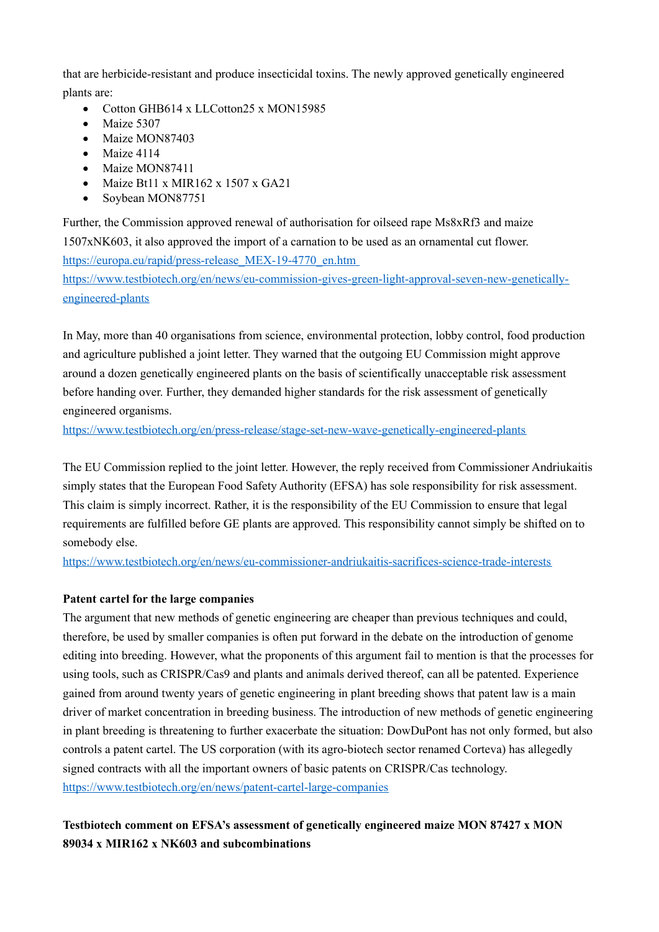that are herbicide-resistant and produce insecticidal toxins. The newly approved genetically engineered plants are:

- Cotton GHB614 x LLCotton25 x MON15985
- $\bullet$  Maize 5307
- Maize MON87403
- $\bullet$  Maize 4114
- Maize MON87411
- $\bullet$  Maize Bt11 x MIR162 x 1507 x GA21
- Soybean MON87751

Further, the Commission approved renewal of authorisation for oilseed rape Ms8xRf3 and maize 1507xNK603, it also approved the import of a carnation to be used as an ornamental cut flower. https://europa.eu/rapid/press-release MEX-19-4770 en.htm [https://www.testbiotech.org/en/news/eu-commission-gives-green-light-approval-seven-new-genetically](https://www.testbiotech.org/en/news/eu-commission-gives-green-light-approval-seven-new-genetically-engineered-plants)[engineered-plants](https://www.testbiotech.org/en/news/eu-commission-gives-green-light-approval-seven-new-genetically-engineered-plants)

In May, more than 40 organisations from science, environmental protection, lobby control, food production and agriculture published a joint letter. They warned that the outgoing EU Commission might approve around a dozen genetically engineered plants on the basis of scientifically unacceptable risk assessment before handing over. Further, they demanded higher standards for the risk assessment of genetically engineered organisms.

<https://www.testbiotech.org/en/press-release/stage-set-new-wave-genetically-engineered-plants>

The EU Commission replied to the joint letter. However, the reply received from Commissioner Andriukaitis simply states that the European Food Safety Authority (EFSA) has sole responsibility for risk assessment. This claim is simply incorrect. Rather, it is the responsibility of the EU Commission to ensure that legal requirements are fulfilled before GE plants are approved. This responsibility cannot simply be shifted on to somebody else.

<https://www.testbiotech.org/en/news/eu-commissioner-andriukaitis-sacrifices-science-trade-interests>

### **Patent cartel for the large companies**

The argument that new methods of genetic engineering are cheaper than previous techniques and could, therefore, be used by smaller companies is often put forward in the debate on the introduction of genome editing into breeding. However, what the proponents of this argument fail to mention is that the processes for using tools, such as CRISPR/Cas9 and plants and animals derived thereof, can all be patented. Experience gained from around twenty years of genetic engineering in plant breeding shows that patent law is a main driver of market concentration in breeding business. The introduction of new methods of genetic engineering in plant breeding is threatening to further exacerbate the situation: DowDuPont has not only formed, but also controls a patent cartel. The US corporation (with its agro-biotech sector renamed Corteva) has allegedly signed contracts with all the important owners of basic patents on CRISPR/Cas technology. <https://www.testbiotech.org/en/news/patent-cartel-large-companies>

# **Testbiotech comment on EFSA's assessment of genetically engineered maize MON 87427 x MON 89034 x MIR162 x NK603 and subcombinations**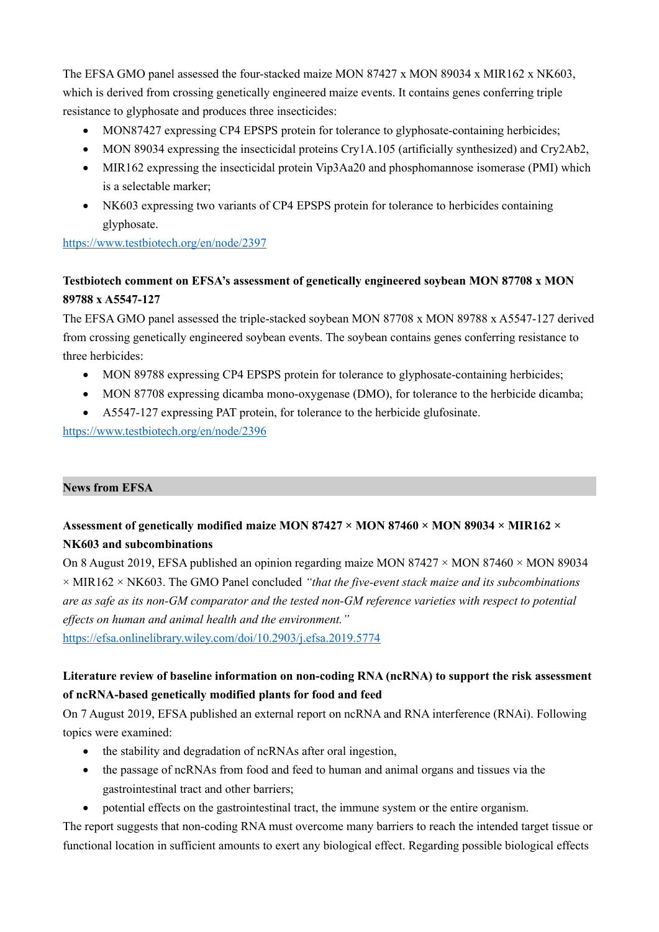The EFSA GMO panel assessed the four-stacked maize MON 87427 x MON 89034 x MIR162 x NK603, which is derived from crossing genetically engineered maize events. It contains genes conferring triple resistance to glyphosate and produces three insecticides:

- MON87427 expressing CP4 EPSPS protein for tolerance to glyphosate-containing herbicides;
- $\bullet$  MON 89034 expressing the insecticidal proteins Cry1A.105 (artificially synthesized) and Cry2Ab2,
- MIR162 expressing the insecticidal protein Vip3Aa20 and phosphomannose isomerase (PMI) which is a selectable marker;
- NK603 expressing two variants of CP4 EPSPS protein for tolerance to herbicides containing glyphosate.

<https://www.testbiotech.org/en/node/2397>

## **Testbiotech comment on EFSA's assessment of genetically engineered soybean MON 87708 x MON 89788 x A5547-127**

The EFSA GMO panel assessed the triple-stacked soybean MON 87708 x MON 89788 x A5547-127 derived from crossing genetically engineered soybean events. The soybean contains genes conferring resistance to three herbicides:

- MON 89788 expressing CP4 EPSPS protein for tolerance to glyphosate-containing herbicides;
- MON 87708 expressing dicamba mono-oxygenase (DMO), for tolerance to the herbicide dicamba;
- A5547-127 expressing PAT protein, for tolerance to the herbicide glufosinate.

<https://www.testbiotech.org/en/node/2396>

### **News from EFSA**

# **Assessment of genetically modified maize MON 87427 × MON 87460 × MON 89034 × MIR162 × NK603 and subcombinations**

On 8 August 2019, EFSA published an opinion regarding maize MON 87427  $\times$  MON 87460  $\times$  MON 89034 × MIR162 × NK603. The GMO Panel concluded *"that the five‐event stack maize and its subcombinations are as safe as its non‐GM comparator and the tested non‐GM reference varieties with respect to potential effects on human and animal health and the environment."*

<https://efsa.onlinelibrary.wiley.com/doi/10.2903/j.efsa.2019.5774>

# Literature review of baseline information on non-coding RNA (ncRNA) to support the risk assessment **of ncRNA‐based genetically modified plants for food and feed**

On 7 August 2019, EFSA published an external report on ncRNA and RNA interference (RNAi). Following topics were examined:

- the stability and degradation of ncRNAs after oral ingestion,
- the passage of ncRNAs from food and feed to human and animal organs and tissues via the gastrointestinal tract and other barriers;
- potential effects on the gastrointestinal tract, the immune system or the entire organism.

The report suggests that non-coding RNA must overcome many barriers to reach the intended target tissue or functional location in sufficient amounts to exert any biological effect. Regarding possible biological effects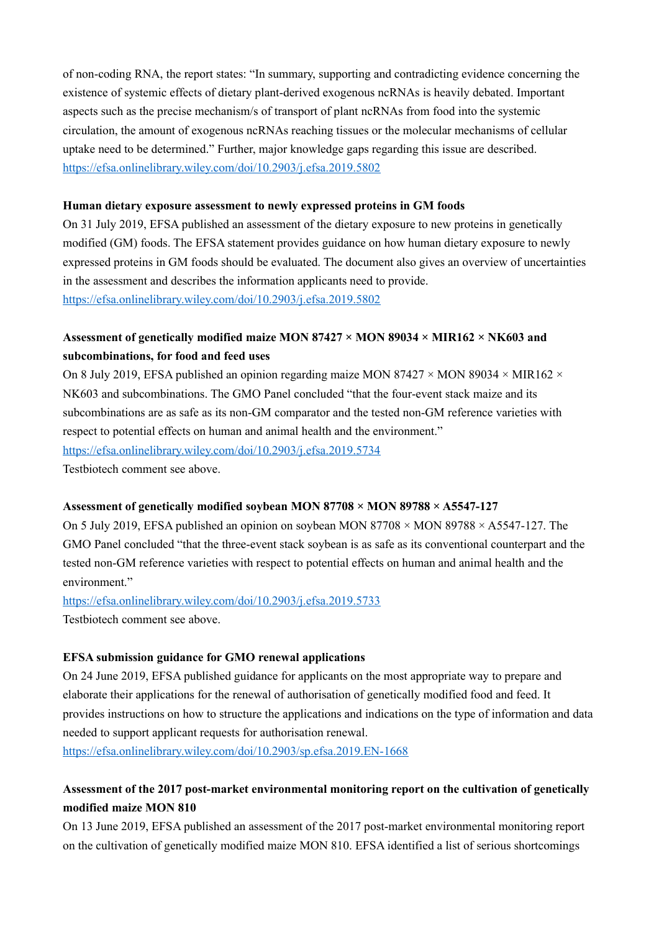of non-coding RNA, the report states: "In summary, supporting and contradicting evidence concerning the existence of systemic effects of dietary plant-derived exogenous ncRNAs is heavily debated. Important aspects such as the precise mechanism/s of transport of plant ncRNAs from food into the systemic circulation, the amount of exogenous ncRNAs reaching tissues or the molecular mechanisms of cellular uptake need to be determined." Further, major knowledge gaps regarding this issue are described. <https://efsa.onlinelibrary.wiley.com/doi/10.2903/j.efsa.2019.5802>

### **Human dietary exposure assessment to newly expressed proteins in GM foods**

On 31 July 2019, EFSA published an assessment of the dietary exposure to new proteins in genetically modified (GM) foods. The EFSA statement provides guidance on how human dietary exposure to newly expressed proteins in GM foods should be evaluated. The document also gives an overview of uncertainties in the assessment and describes the information applicants need to provide. <https://efsa.onlinelibrary.wiley.com/doi/10.2903/j.efsa.2019.5802>

## **Assessment of genetically modified maize MON 87427 × MON 89034 × MIR162 × NK603 and subcombinations, for food and feed uses**

On 8 July 2019, EFSA published an opinion regarding maize MON 87427  $\times$  MON 89034  $\times$  MIR162  $\times$ NK603 and subcombinations. The GMO Panel concluded "that the four-event stack maize and its subcombinations are as safe as its non-GM comparator and the tested non-GM reference varieties with respect to potential effects on human and animal health and the environment." <https://efsa.onlinelibrary.wiley.com/doi/10.2903/j.efsa.2019.5734>

Testbiotech comment see above.

### **Assessment of genetically modified soybean MON 87708 × MON 89788 × A5547‐127**

On 5 July 2019, EFSA published an opinion on soybean MON 87708  $\times$  MON 89788  $\times$  A5547-127. The GMO Panel concluded "that the three-event stack soybean is as safe as its conventional counterpart and the tested non‐GM reference varieties with respect to potential effects on human and animal health and the environment."

<https://efsa.onlinelibrary.wiley.com/doi/10.2903/j.efsa.2019.5733> Testbiotech comment see above.

### **EFSA submission guidance for GMO renewal applications**

On 24 June 2019, EFSA published guidance for applicants on the most appropriate way to prepare and elaborate their applications for the renewal of authorisation of genetically modified food and feed. It provides instructions on how to structure the applications and indications on the type of information and data needed to support applicant requests for authorisation renewal.

<https://efsa.onlinelibrary.wiley.com/doi/10.2903/sp.efsa.2019.EN-1668>

## **Assessment of the 2017 post‐market environmental monitoring report on the cultivation of genetically modified maize MON 810**

On 13 June 2019, EFSA published an assessment of the 2017 post-market environmental monitoring report on the cultivation of genetically modified maize MON 810. EFSA identified a list of serious shortcomings